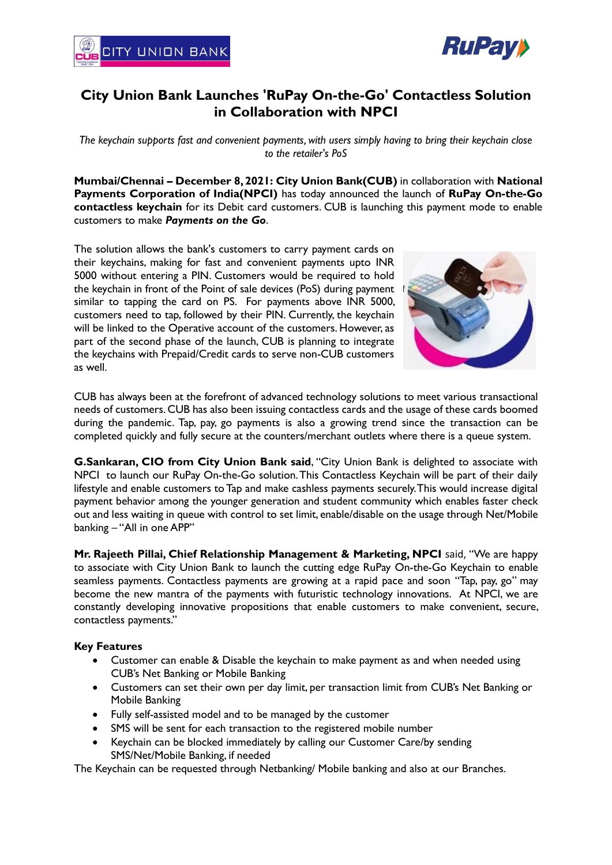

## **City Union Bank Launches 'RuPay On-the-Go' Contactless Solution in Collaboration with NPCI**

*The keychain supports fast and convenient payments, with users simply having to bring their keychain close to the retailer's PoS*

**Mumbai/Chennai – December 8, 2021: City Union Bank(CUB)** in collaboration with **National Payments Corporation of India(NPCI)** has today announced the launch of **RuPay On-the-Go contactless keychain** for its Debit card customers. CUB is launching this payment mode to enable customers to make *Payments on the Go*.

The solution allows the bank's customers to carry payment cards on their keychains, making for fast and convenient payments upto INR 5000 without entering a PIN. Customers would be required to hold the keychain in front of the Point of sale devices (PoS) during payment similar to tapping the card on PS. For payments above INR 5000, customers need to tap, followed by their PIN. Currently, the keychain will be linked to the Operative account of the customers. However, as part of the second phase of the launch, CUB is planning to integrate the keychains with Prepaid/Credit cards to serve non-CUB customers as well.



CUB has always been at the forefront of advanced technology solutions to meet various transactional needs of customers. CUB has also been issuing contactless cards and the usage of these cards boomed during the pandemic. Tap, pay, go payments is also a growing trend since the transaction can be completed quickly and fully secure at the counters/merchant outlets where there is a queue system.

**G.Sankaran, CIO from City Union Bank said**, "City Union Bank is delighted to associate with NPCI to launch our RuPay On-the-Go solution. This Contactless Keychain will be part of their daily lifestyle and enable customers to Tap and make cashless payments securely. This would increase digital payment behavior among the younger generation and student community which enables faster check out and less waiting in queue with control to set limit, enable/disable on the usage through Net/Mobile banking – "All in one APP"

**Mr. Rajeeth Pillai, Chief Relationship Management & Marketing, NPCI** said, "We are happy to associate with City Union Bank to launch the cutting edge RuPay On-the-Go Keychain to enable seamless payments. Contactless payments are growing at a rapid pace and soon "Tap, pay, go" may become the new mantra of the payments with futuristic technology innovations. At NPCI, we are constantly developing innovative propositions that enable customers to make convenient, secure, contactless payments."

## **Key Features**

- Customer can enable & Disable the keychain to make payment as and when needed using CUB's Net Banking or Mobile Banking
- Customers can set their own per day limit, per transaction limit from CUB's Net Banking or Mobile Banking
- Fully self-assisted model and to be managed by the customer
- SMS will be sent for each transaction to the registered mobile number
- Keychain can be blocked immediately by calling our Customer Care/by sending SMS/Net/Mobile Banking, if needed

The Keychain can be requested through Netbanking/ Mobile banking and also at our Branches.